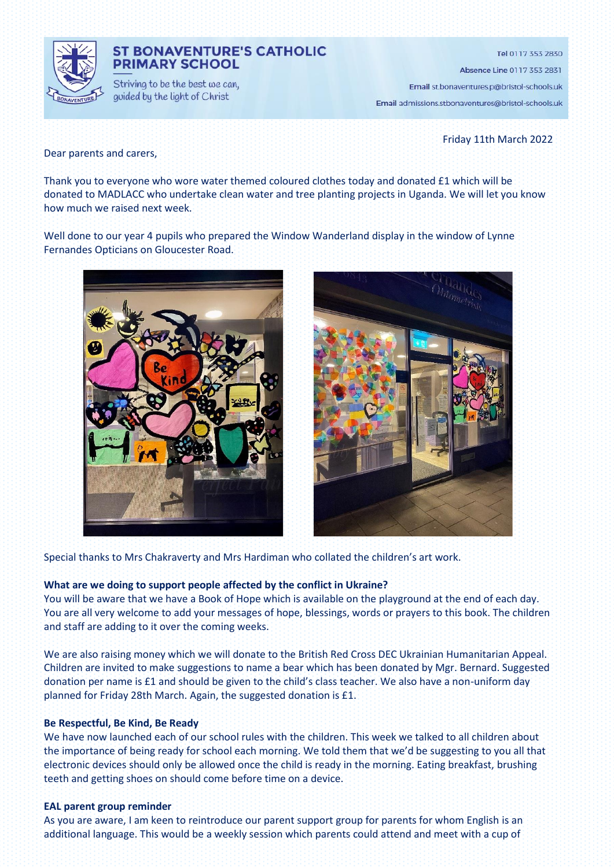

# **ST BONAVENTURE'S CATHOLIC PRIMARY SCHOOL**

Striving to be the best we can, guided by the light of Christ

Tel 0117 353 2830

Absence Line 0117 353 2831

Email st.bonaventures.p@bristol-schools.uk

Email admissions.stbonaventures@bristol-schools.uk

Friday 11th March 2022

Dear parents and carers,

Thank you to everyone who wore water themed coloured clothes today and donated £1 which will be donated to MADLACC who undertake clean water and tree planting projects in Uganda. We will let you know how much we raised next week.

Well done to our year 4 pupils who prepared the Window Wanderland display in the window of Lynne Fernandes Opticians on Gloucester Road.





Special thanks to Mrs Chakraverty and Mrs Hardiman who collated the children's art work.

#### **What are we doing to support people affected by the conflict in Ukraine?**

You will be aware that we have a Book of Hope which is available on the playground at the end of each day. You are all very welcome to add your messages of hope, blessings, words or prayers to this book. The children and staff are adding to it over the coming weeks.

We are also raising money which we will donate to the British Red Cross DEC Ukrainian Humanitarian Appeal. Children are invited to make suggestions to name a bear which has been donated by Mgr. Bernard. Suggested donation per name is £1 and should be given to the child's class teacher. We also have a non-uniform day planned for Friday 28th March. Again, the suggested donation is £1.

#### **Be Respectful, Be Kind, Be Ready**

We have now launched each of our school rules with the children. This week we talked to all children about the importance of being ready for school each morning. We told them that we'd be suggesting to you all that electronic devices should only be allowed once the child is ready in the morning. Eating breakfast, brushing teeth and getting shoes on should come before time on a device.

## **EAL parent group reminder**

As you are aware, I am keen to reintroduce our parent support group for parents for whom English is an additional language. This would be a weekly session which parents could attend and meet with a cup of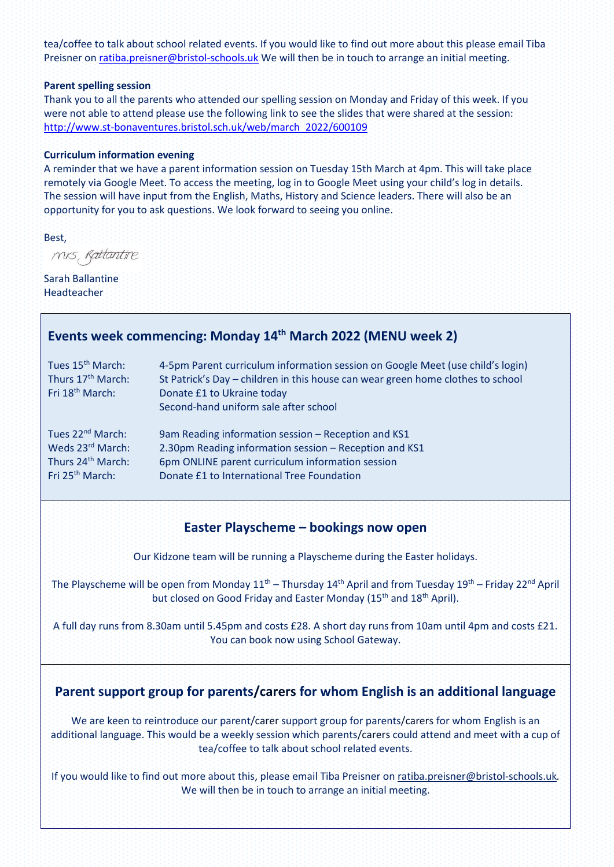tea/coffee to talk about school related events. If you would like to find out more about this please email Tiba Preisner on [ratiba.preisner@bristol-schools.uk](mailto:ratiba.preisner@bristol-schools.uk) We will then be in touch to arrange an initial meeting.

#### **Parent spelling session**

Thank you to all the parents who attended our spelling session on Monday and Friday of this week. If you were not able to attend please use the following link to see the slides that were shared at the session: [http://www.st-bonaventures.bristol.sch.uk/web/march\\_2022/600109](http://www.st-bonaventures.bristol.sch.uk/web/march_2022/600109)

## **Curriculum information evening**

A reminder that we have a parent information session on Tuesday 15th March at 4pm. This will take place remotely via Google Meet. To access the meeting, log in to Google Meet using your child's log in details. The session will have input from the English, Maths, History and Science leaders. There will also be an opportunity for you to ask questions. We look forward to seeing you online.

Best,

mis, Rattantire

Sarah Ballantine Headteacher

# **Events week commencing: Monday 14th March 2022 (MENU week 2)**

| Tues 15 <sup>th</sup> March:<br>Thurs 17 <sup>th</sup> March:<br>Fri 18 <sup>th</sup> March: | 4-5pm Parent curriculum information session on Google Meet (use child's login)<br>St Patrick's Day - children in this house can wear green home clothes to school<br>Donate £1 to Ukraine today<br>Second-hand uniform sale after school |
|----------------------------------------------------------------------------------------------|------------------------------------------------------------------------------------------------------------------------------------------------------------------------------------------------------------------------------------------|
| Tues 22 <sup>nd</sup> March:                                                                 | 9am Reading information session - Reception and KS1                                                                                                                                                                                      |
| Weds 23rd March:                                                                             | 2.30pm Reading information session - Reception and KS1                                                                                                                                                                                   |
| Thurs 24 <sup>th</sup> March:                                                                | 6pm ONLINE parent curriculum information session                                                                                                                                                                                         |
| Fri 25 <sup>th</sup> March:                                                                  | Donate £1 to International Tree Foundation                                                                                                                                                                                               |

# **Easter Playscheme – bookings now open**

Our Kidzone team will be running a Playscheme during the Easter holidays.

The Playscheme will be open from Monday  $11<sup>th</sup>$  – Thursday  $14<sup>th</sup>$  April and from Tuesday  $19<sup>th</sup>$  – Friday 22<sup>nd</sup> April but closed on Good Friday and Easter Monday (15<sup>th</sup> and 18<sup>th</sup> April).

A full day runs from 8.30am until 5.45pm and costs £28. A short day runs from 10am until 4pm and costs £21. You can book now using School Gateway.

# **Parent support group for parents/carers for whom English is an additional language**

We are keen to reintroduce our parent/carer support group for parents/carers for whom English is an additional language. This would be a weekly session which parents/carers could attend and meet with a cup of tea/coffee to talk about school related events.

If you would like to find out more about this, please email Tiba Preisner o[n ratiba.preisner@bristol-schools.uk](mailto:ratiba.preisner@bristol-schools.uk)*.* We will then be in touch to arrange an initial meeting.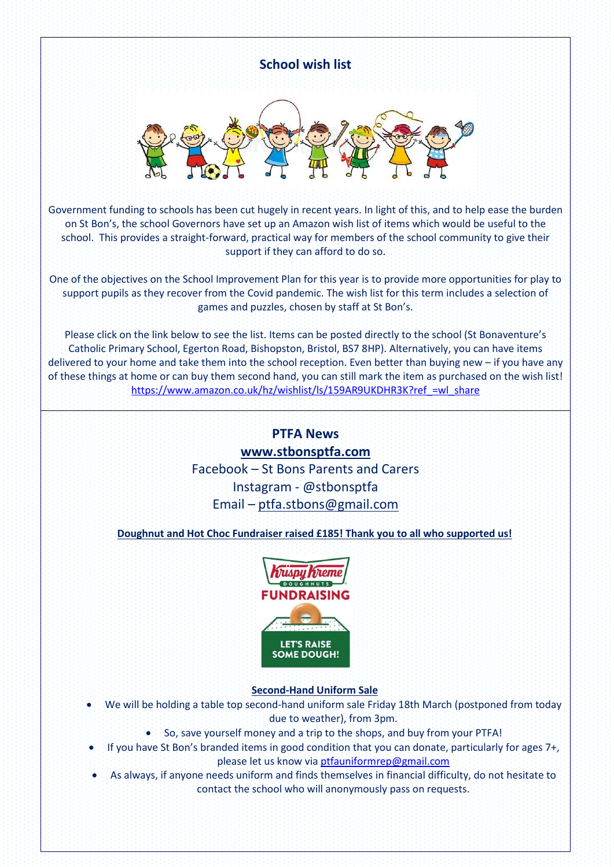

One of the objectives on the School Improvement Plan for this year is to provide more opportunities for play to support pupils as they recover from the Covid pandemic. The wish list for this term includes a selection of games and puzzles, chosen by staff at St Bon's.

Please click on the link below to see the list. Items can be posted directly to the school (St Bonaventure's Catholic Primary School, Egerton Road, Bishopston, Bristol, BS7 8HP). Alternatively, you can have items delivered to your home and take them into the school reception. Even better than buying new – if you have any of these things at home or can buy them second hand, you can still mark the item as purchased on the wish list! [https://www.amazon.co.uk/hz/wishlist/ls/159AR9UKDHR3K?ref\\_=wl\\_share](https://www.amazon.co.uk/hz/wishlist/ls/159AR9UKDHR3K?ref_=wl_share)

# **PTFA News [www.stbonsptfa.com](file:///C:/Users/sophi/Documents/Personal/PTFA/www.stbonsptfa.com)** Facebook – St Bons Parents and Carers Instagram - @stbonsptfa Email – [ptfa.stbons@gmail.com](mailto:ptfa.stbons@gmail.com)

**Doughnut and Hot Choc Fundraiser raised £185! Thank you to all who supported us!** 



# **Second-Hand Uniform Sale**

- We will be holding a table top second-hand uniform sale Friday 18th March (postponed from today due to weather), from 3pm.
	- So, save yourself money and a trip to the shops, and buy from your PTFA!
- If you have St Bon's branded items in good condition that you can donate, particularly for ages 7+, please let us know via [ptfauniformrep@gmail.com](mailto:ptfauniformrep@gmail.com)
- As always, if anyone needs uniform and finds themselves in financial difficulty, do not hesitate to contact the school who will anonymously pass on requests.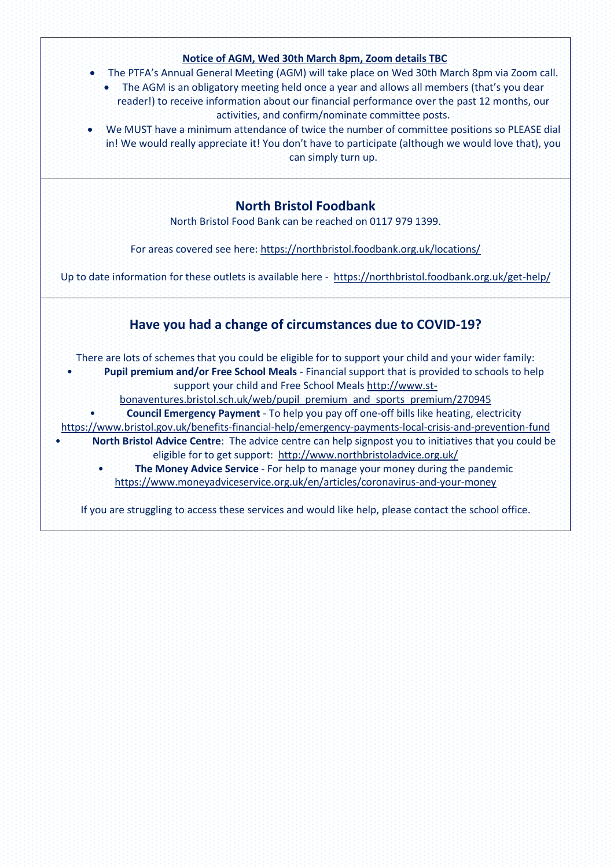

If you are struggling to access these services and would like help, please contact the school office.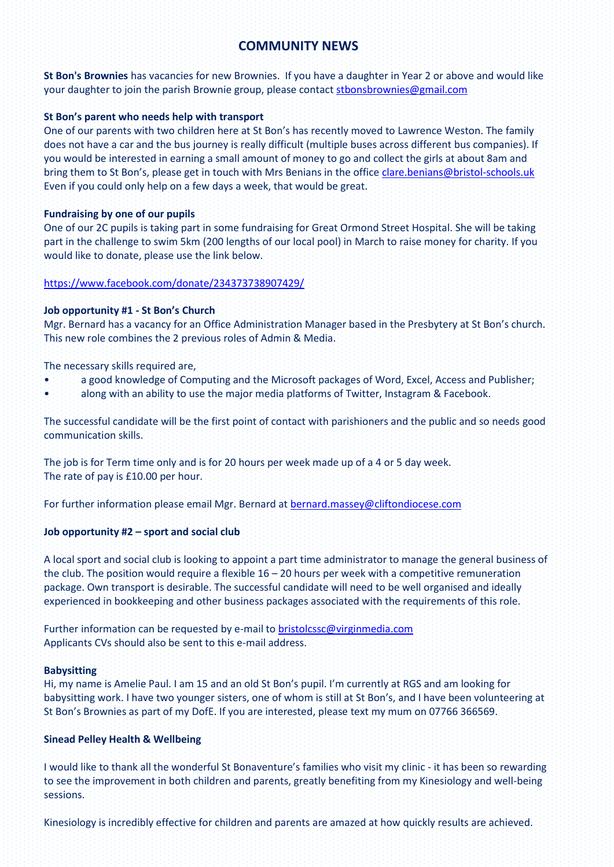# **COMMUNITY NEWS**

**St Bon's Brownies** has vacancies for new Brownies. If you have a daughter in Year 2 or above and would like your daughter to join the parish Brownie group, please contact [stbonsbrownies@gmail.com](mailto:stbonsbrownies@gmail.com)

# **St Bon's parent who needs help with transport**

One of our parents with two children here at St Bon's has recently moved to Lawrence Weston. The family does not have a car and the bus journey is really difficult (multiple buses across different bus companies). If you would be interested in earning a small amount of money to go and collect the girls at about 8am and bring them to St Bon's, please get in touch with Mrs Benians in the office [clare.benians@bristol-schools.uk](mailto:clare.benians@bristol-schools.uk) Even if you could only help on a few days a week, that would be great.

## **Fundraising by one of our pupils**

One of our 2C pupils is taking part in some fundraising for Great Ormond Street Hospital. She will be taking part in the challenge to swim 5km (200 lengths of our local pool) in March to raise money for charity. If you would like to donate, please use the link below.

### <https://www.facebook.com/donate/234373738907429/>

### **Job opportunity #1 - St Bon's Church**

Mgr. Bernard has a vacancy for an Office Administration Manager based in the Presbytery at St Bon's church. This new role combines the 2 previous roles of Admin & Media.

The necessary skills required are,

- a good knowledge of Computing and the Microsoft packages of Word, Excel, Access and Publisher;
- along with an ability to use the major media platforms of Twitter, Instagram & Facebook.

The successful candidate will be the first point of contact with parishioners and the public and so needs good communication skills.

The job is for Term time only and is for 20 hours per week made up of a 4 or 5 day week. The rate of pay is £10.00 per hour.

For further information please email Mgr. Bernard a[t bernard.massey@cliftondiocese.com](mailto:bernard.massey@cliftondiocese.com)

# **Job opportunity #2 – sport and social club**

A local sport and social club is looking to appoint a part time administrator to manage the general business of the club. The position would require a flexible 16 – 20 hours per week with a competitive remuneration package. Own transport is desirable. The successful candidate will need to be well organised and ideally experienced in bookkeeping and other business packages associated with the requirements of this role.

Further information can be requested by e-mail to [bristolcssc@virginmedia.com](mailto:bristolcssc@virginmedia.com) Applicants CVs should also be sent to this e-mail address.

#### **Babysitting**

Hi, my name is Amelie Paul. I am 15 and an old St Bon's pupil. I'm currently at RGS and am looking for babysitting work. I have two younger sisters, one of whom is still at St Bon's, and I have been volunteering at St Bon's Brownies as part of my DofE. If you are interested, please text my mum on 07766 366569.

#### **Sinead Pelley Health & Wellbeing**

I would like to thank all the wonderful St Bonaventure's families who visit my clinic - it has been so rewarding to see the improvement in both children and parents, greatly benefiting from my Kinesiology and well-being sessions.

Kinesiology is incredibly effective for children and parents are amazed at how quickly results are achieved.